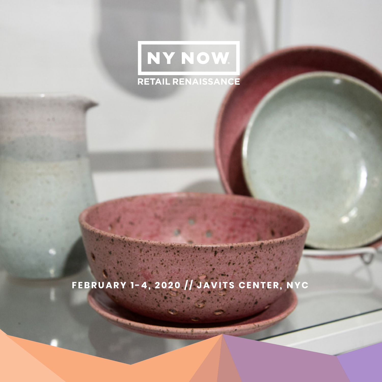# NY NOW. **RETAIL RENAISSANCE**

**FEBRUARY 1-4, 2020 // JAVITS CENTER, NYC**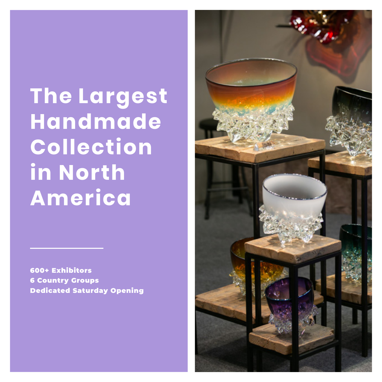**The Largest Handmade Collection in North America**

600+ Exhibitors 6 Country Groups Dedicated Saturday Opening

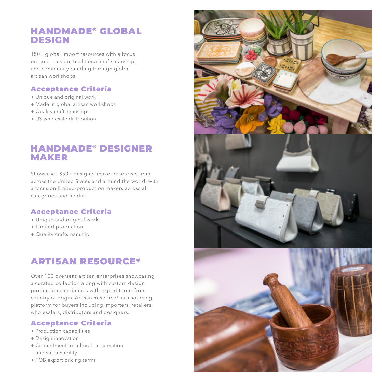### HANDMADE® GLOBAL DESIGN

150+ global import resources with a focus on good design, traditional craftsmanship, and community building through global artisan workshops.

#### Acceptance Criteria

- + Unique and original work
- + Made in global artisan workshops
- + Quality craftsmanship
- + US wholesale distribution

### HANDMADE® DESIGNER MAKER

Showcases 350+ designer maker resources from across the United States and around the world, with a focus on limited-production makers across all categories and media.

#### Acceptance Criteria

- + Unique and original work
- + Limited production
- + Quality craftsmanship

### ARTISAN RESOURCE®

Over 100 overseas artisan enterprises showcasing a curated collection along with custom design production capabilities with export terms from country of origin. Artisan Resource® is a sourcing platform for buyers including importers, retailers, wholesalers, distributors and designers.

#### Acceptance Criteria

- + Production capabilities
- + Design innovation
- + Commitment to cultural preservation and sustainability
- + FOB export pricing terms

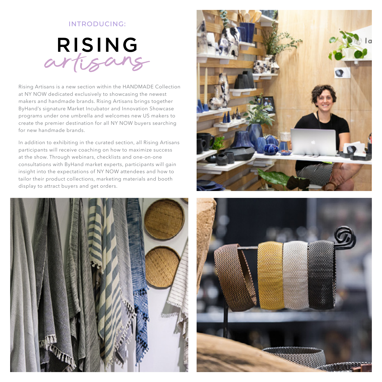#### INTRODUCING:



Rising Artisans is a new section within the HANDMADE Collection at NY NOW dedicated exclusively to showcasing the newest makers and handmade brands. Rising Artisans brings together ByHand's signature Market Incubator and Innovation Showcase programs under one umbrella and welcomes new US makers to create the premier destination for all NY NOW buyers searching for new handmade brands.

In addition to exhibiting in the curated section, all Rising Artisans participants will receive coaching on how to maximize success at the show. Through webinars, checklists and one-on-one consultations with ByHand market experts, participants will gain insight into the expectations of NY NOW attendees and how to tailor their product collections, marketing materials and booth display to attract buyers and get orders.





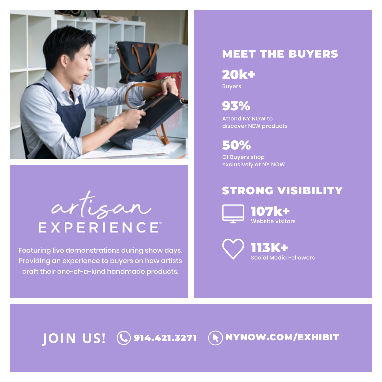

artigan **EXPERIENCE** 

Featuring live demonstrations during show days. Providing an experience to buyers on how artists craft their one-of-a-kind handmade products.

### MEET THE BUYERS

Buyers 20k+

93%

Attend NY NOW to discover NEW products

50%

Of Buyers shop exclusively at NY NOW

### STRONG VISIBILITY



113K+ Social Media Followers

**JOIN US! © 914.421.3271 ANYNOW.COM/EXHIBIT**